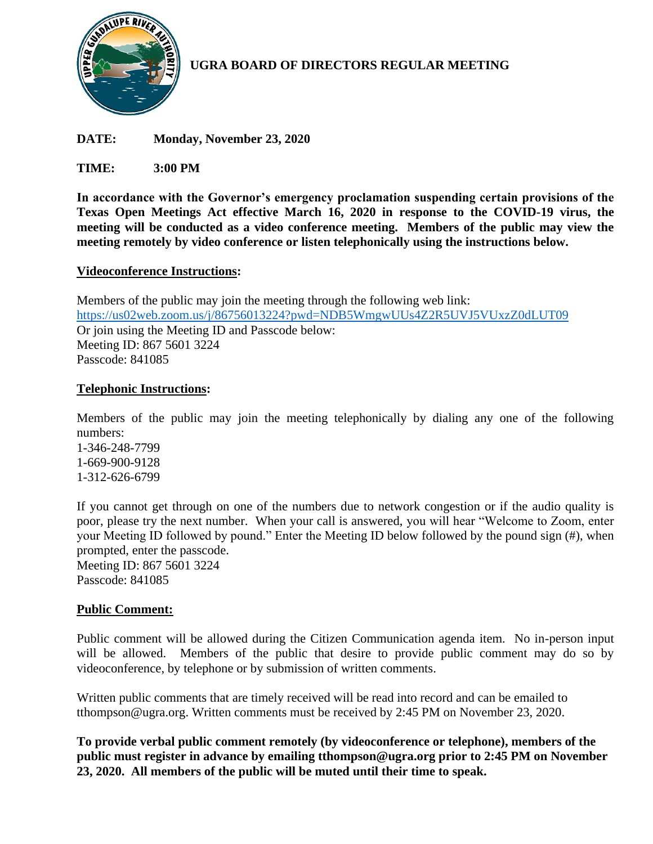

# **UGRA BOARD OF DIRECTORS REGULAR MEETING**

**DATE: Monday, November 23, 2020**

**TIME: 3:00 PM**

**In accordance with the Governor's emergency proclamation suspending certain provisions of the Texas Open Meetings Act effective March 16, 2020 in response to the COVID-19 virus, the meeting will be conducted as a video conference meeting. Members of the public may view the meeting remotely by video conference or listen telephonically using the instructions below.**

## **Videoconference Instructions:**

Members of the public may join the meeting through the following web link: <https://us02web.zoom.us/j/86756013224?pwd=NDB5WmgwUUs4Z2R5UVJ5VUxzZ0dLUT09> Or join using the Meeting ID and Passcode below: Meeting ID: 867 5601 3224 Passcode: 841085

## **Telephonic Instructions:**

Members of the public may join the meeting telephonically by dialing any one of the following numbers:

1-346-248-7799 1-669-900-9128 1-312-626-6799

If you cannot get through on one of the numbers due to network congestion or if the audio quality is poor, please try the next number. When your call is answered, you will hear "Welcome to Zoom, enter your Meeting ID followed by pound." Enter the Meeting ID below followed by the pound sign (#), when prompted, enter the passcode. Meeting ID: 867 5601 3224 Passcode: 841085

# **Public Comment:**

Public comment will be allowed during the Citizen Communication agenda item. No in-person input will be allowed. Members of the public that desire to provide public comment may do so by videoconference, by telephone or by submission of written comments.

Written public comments that are timely received will be read into record and can be emailed to tthompson@ugra.org. Written comments must be received by 2:45 PM on November 23, 2020.

**To provide verbal public comment remotely (by videoconference or telephone), members of the public must register in advance by emailing tthompson@ugra.org prior to 2:45 PM on November 23, 2020. All members of the public will be muted until their time to speak.**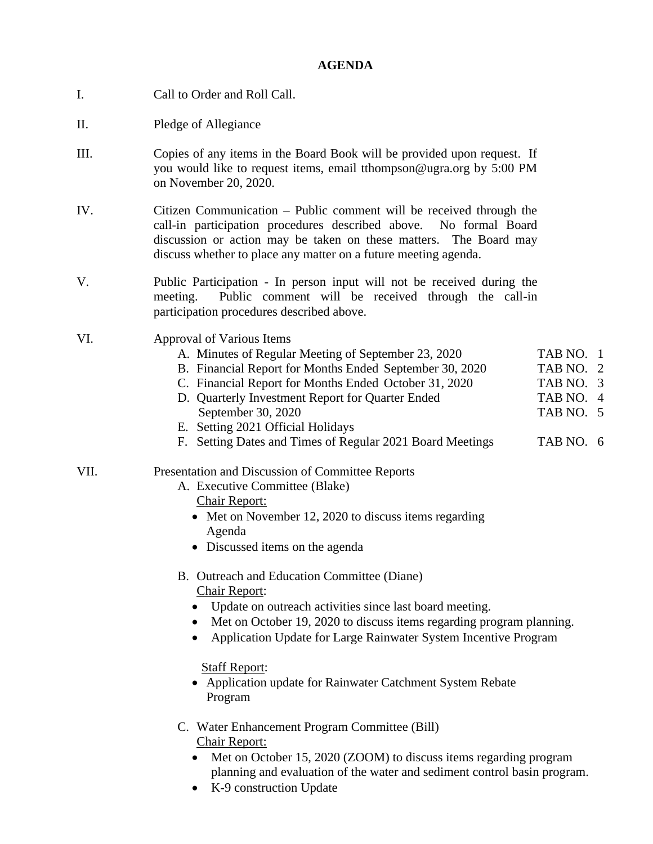#### **AGENDA**

- I. Call to Order and Roll Call.
- II. Pledge of Allegiance
- III. Copies of any items in the Board Book will be provided upon request. If you would like to request items, email tthompson@ugra.org by 5:00 PM on November 20, 2020.
- IV. Citizen Communication Public comment will be received through the call-in participation procedures described above. No formal Board discussion or action may be taken on these matters. The Board may discuss whether to place any matter on a future meeting agenda.
- V. Public Participation In person input will not be received during the meeting. Public comment will be received through the call-in participation procedures described above.
- VI. Approval of Various Items

| A. Minutes of Regular Meeting of September 23, 2020       | TAB NO. 1 |
|-----------------------------------------------------------|-----------|
| B. Financial Report for Months Ended September 30, 2020   | TAB NO. 2 |
| C. Financial Report for Months Ended October 31, 2020     | TAB NO. 3 |
| D. Quarterly Investment Report for Quarter Ended          | TAB NO. 4 |
| September 30, 2020                                        | TAB NO. 5 |
| E. Setting 2021 Official Holidays                         |           |
| F. Setting Dates and Times of Regular 2021 Board Meetings | TAB NO. 6 |
|                                                           |           |

- VII. Presentation and Discussion of Committee Reports
	- A. Executive Committee (Blake)
		- Chair Report:
		- Met on November 12, 2020 to discuss items regarding Agenda
		- Discussed items on the agenda

### B. Outreach and Education Committee (Diane) Chair Report:

- Update on outreach activities since last board meeting.
- Met on October 19, 2020 to discuss items regarding program planning.
- Application Update for Large Rainwater System Incentive Program

#### Staff Report:

- Application update for Rainwater Catchment System Rebate Program
- C. Water Enhancement Program Committee (Bill) Chair Report:
	- Met on October 15, 2020 (ZOOM) to discuss items regarding program planning and evaluation of the water and sediment control basin program.
	- K-9 construction Update